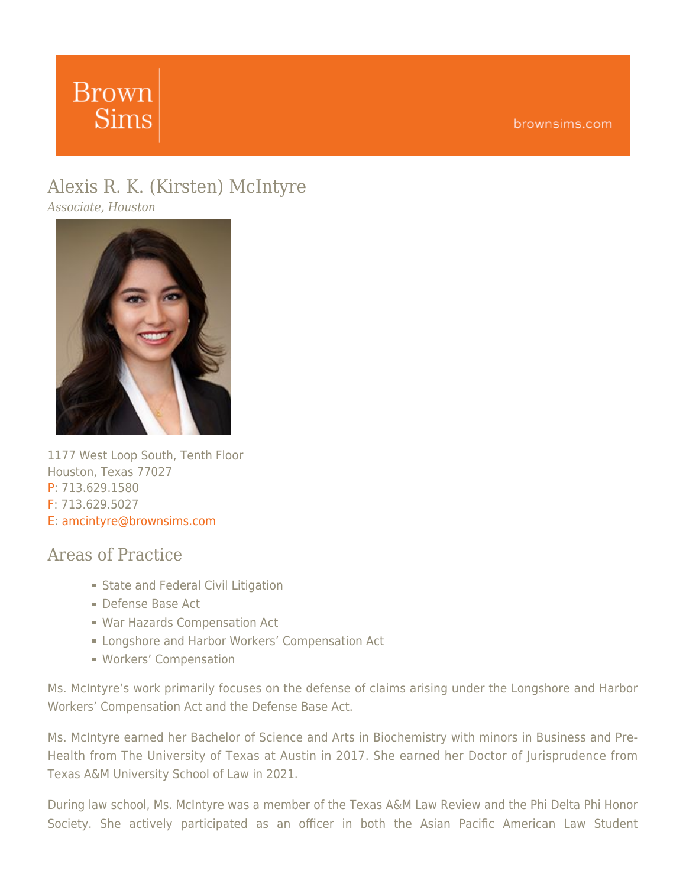# **Brown Sims**

## [Alexis](https://www.brownsims.com/lawyers/name/alexis-mcintyre/detail/) [R. K. \(Kirsten\)](https://www.brownsims.com/lawyers/name/alexis-mcintyre/detail/) [McIntyre](https://www.brownsims.com/lawyers/name/alexis-mcintyre/detail/)

*Associate, Houston*



1177 West Loop South, Tenth Floor Houston, Texas 77027 P: 713.629.1580 F: 713.629.5027 E: [amcintyre@brownsims.com](mailto:amcintyre@brownsims.com)

#### Areas of Practice

- **State and Federal Civil Litigation**
- Defense Base Act
- War Hazards Compensation Act
- **Example 2** Longshore and Harbor Workers' Compensation Act
- Workers' Compensation

Ms. McIntyre's work primarily focuses on the defense of claims arising under the Longshore and Harbor Workers' Compensation Act and the Defense Base Act.

Ms. McIntyre earned her Bachelor of Science and Arts in Biochemistry with minors in Business and Pre-Health from The University of Texas at Austin in 2017. She earned her Doctor of Jurisprudence from Texas A&M University School of Law in 2021.

During law school, Ms. McIntyre was a member of the Texas A&M Law Review and the Phi Delta Phi Honor Society. She actively participated as an officer in both the Asian Pacific American Law Student